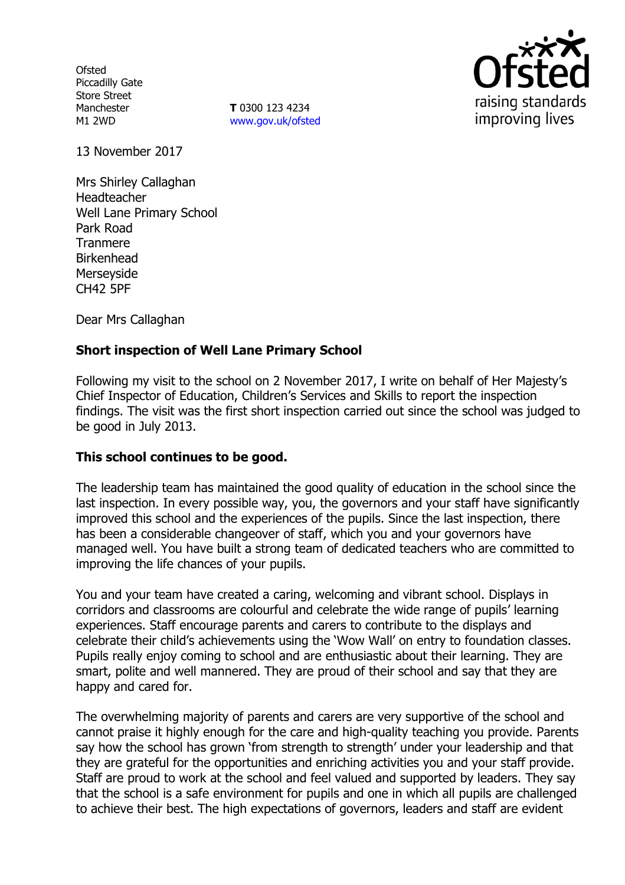**Ofsted** Piccadilly Gate Store Street Manchester M1 2WD

**T** 0300 123 4234 www.gov.uk/ofsted



13 November 2017

Mrs Shirley Callaghan Headteacher Well Lane Primary School Park Road Tranmere Birkenhead Merseyside CH42 5PF

Dear Mrs Callaghan

### **Short inspection of Well Lane Primary School**

Following my visit to the school on 2 November 2017, I write on behalf of Her Majesty's Chief Inspector of Education, Children's Services and Skills to report the inspection findings. The visit was the first short inspection carried out since the school was judged to be good in July 2013.

### **This school continues to be good.**

The leadership team has maintained the good quality of education in the school since the last inspection. In every possible way, you, the governors and your staff have significantly improved this school and the experiences of the pupils. Since the last inspection, there has been a considerable changeover of staff, which you and your governors have managed well. You have built a strong team of dedicated teachers who are committed to improving the life chances of your pupils.

You and your team have created a caring, welcoming and vibrant school. Displays in corridors and classrooms are colourful and celebrate the wide range of pupils' learning experiences. Staff encourage parents and carers to contribute to the displays and celebrate their child's achievements using the 'Wow Wall' on entry to foundation classes. Pupils really enjoy coming to school and are enthusiastic about their learning. They are smart, polite and well mannered. They are proud of their school and say that they are happy and cared for.

The overwhelming majority of parents and carers are very supportive of the school and cannot praise it highly enough for the care and high-quality teaching you provide. Parents say how the school has grown 'from strength to strength' under your leadership and that they are grateful for the opportunities and enriching activities you and your staff provide. Staff are proud to work at the school and feel valued and supported by leaders. They say that the school is a safe environment for pupils and one in which all pupils are challenged to achieve their best. The high expectations of governors, leaders and staff are evident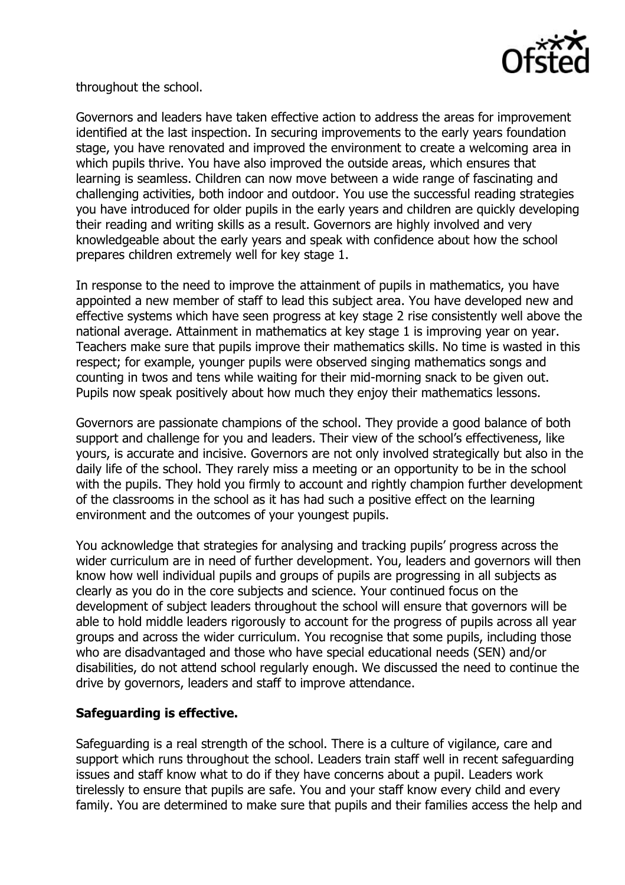

throughout the school.

Governors and leaders have taken effective action to address the areas for improvement identified at the last inspection. In securing improvements to the early years foundation stage, you have renovated and improved the environment to create a welcoming area in which pupils thrive. You have also improved the outside areas, which ensures that learning is seamless. Children can now move between a wide range of fascinating and challenging activities, both indoor and outdoor. You use the successful reading strategies you have introduced for older pupils in the early years and children are quickly developing their reading and writing skills as a result. Governors are highly involved and very knowledgeable about the early years and speak with confidence about how the school prepares children extremely well for key stage 1.

In response to the need to improve the attainment of pupils in mathematics, you have appointed a new member of staff to lead this subject area. You have developed new and effective systems which have seen progress at key stage 2 rise consistently well above the national average. Attainment in mathematics at key stage 1 is improving year on year. Teachers make sure that pupils improve their mathematics skills. No time is wasted in this respect; for example, younger pupils were observed singing mathematics songs and counting in twos and tens while waiting for their mid-morning snack to be given out. Pupils now speak positively about how much they enjoy their mathematics lessons.

Governors are passionate champions of the school. They provide a good balance of both support and challenge for you and leaders. Their view of the school's effectiveness, like yours, is accurate and incisive. Governors are not only involved strategically but also in the daily life of the school. They rarely miss a meeting or an opportunity to be in the school with the pupils. They hold you firmly to account and rightly champion further development of the classrooms in the school as it has had such a positive effect on the learning environment and the outcomes of your youngest pupils.

You acknowledge that strategies for analysing and tracking pupils' progress across the wider curriculum are in need of further development. You, leaders and governors will then know how well individual pupils and groups of pupils are progressing in all subjects as clearly as you do in the core subjects and science. Your continued focus on the development of subject leaders throughout the school will ensure that governors will be able to hold middle leaders rigorously to account for the progress of pupils across all year groups and across the wider curriculum. You recognise that some pupils, including those who are disadvantaged and those who have special educational needs (SEN) and/or disabilities, do not attend school regularly enough. We discussed the need to continue the drive by governors, leaders and staff to improve attendance.

# **Safeguarding is effective.**

Safeguarding is a real strength of the school. There is a culture of vigilance, care and support which runs throughout the school. Leaders train staff well in recent safeguarding issues and staff know what to do if they have concerns about a pupil. Leaders work tirelessly to ensure that pupils are safe. You and your staff know every child and every family. You are determined to make sure that pupils and their families access the help and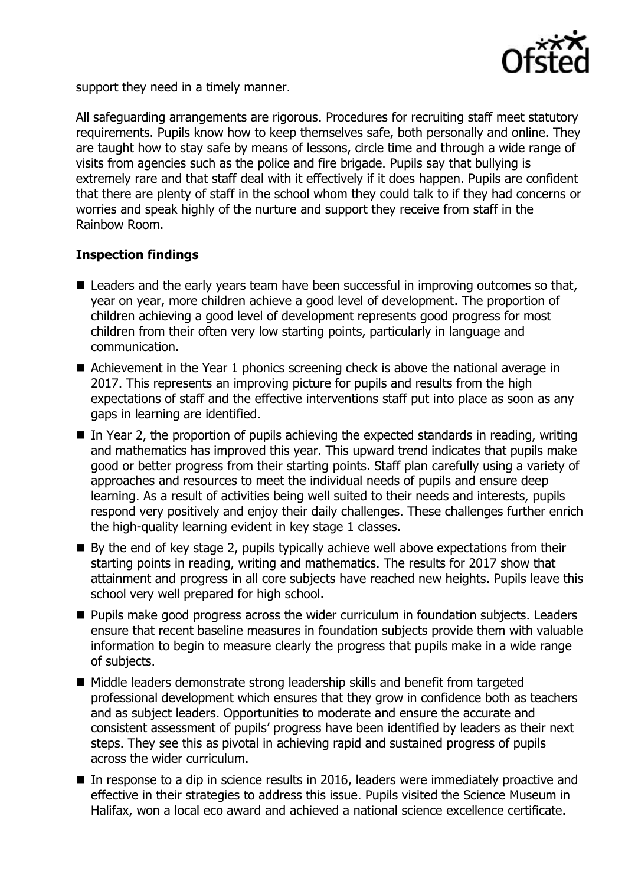

support they need in a timely manner.

All safeguarding arrangements are rigorous. Procedures for recruiting staff meet statutory requirements. Pupils know how to keep themselves safe, both personally and online. They are taught how to stay safe by means of lessons, circle time and through a wide range of visits from agencies such as the police and fire brigade. Pupils say that bullying is extremely rare and that staff deal with it effectively if it does happen. Pupils are confident that there are plenty of staff in the school whom they could talk to if they had concerns or worries and speak highly of the nurture and support they receive from staff in the Rainbow Room.

# **Inspection findings**

- Leaders and the early years team have been successful in improving outcomes so that, year on year, more children achieve a good level of development. The proportion of children achieving a good level of development represents good progress for most children from their often very low starting points, particularly in language and communication.
- Achievement in the Year 1 phonics screening check is above the national average in 2017. This represents an improving picture for pupils and results from the high expectations of staff and the effective interventions staff put into place as soon as any gaps in learning are identified.
- $\blacksquare$  In Year 2, the proportion of pupils achieving the expected standards in reading, writing and mathematics has improved this year. This upward trend indicates that pupils make good or better progress from their starting points. Staff plan carefully using a variety of approaches and resources to meet the individual needs of pupils and ensure deep learning. As a result of activities being well suited to their needs and interests, pupils respond very positively and enjoy their daily challenges. These challenges further enrich the high-quality learning evident in key stage 1 classes.
- By the end of key stage 2, pupils typically achieve well above expectations from their starting points in reading, writing and mathematics. The results for 2017 show that attainment and progress in all core subjects have reached new heights. Pupils leave this school very well prepared for high school.
- **Pupils make good progress across the wider curriculum in foundation subjects. Leaders** ensure that recent baseline measures in foundation subjects provide them with valuable information to begin to measure clearly the progress that pupils make in a wide range of subjects.
- Middle leaders demonstrate strong leadership skills and benefit from targeted professional development which ensures that they grow in confidence both as teachers and as subject leaders. Opportunities to moderate and ensure the accurate and consistent assessment of pupils' progress have been identified by leaders as their next steps. They see this as pivotal in achieving rapid and sustained progress of pupils across the wider curriculum.
- In response to a dip in science results in 2016, leaders were immediately proactive and effective in their strategies to address this issue. Pupils visited the Science Museum in Halifax, won a local eco award and achieved a national science excellence certificate.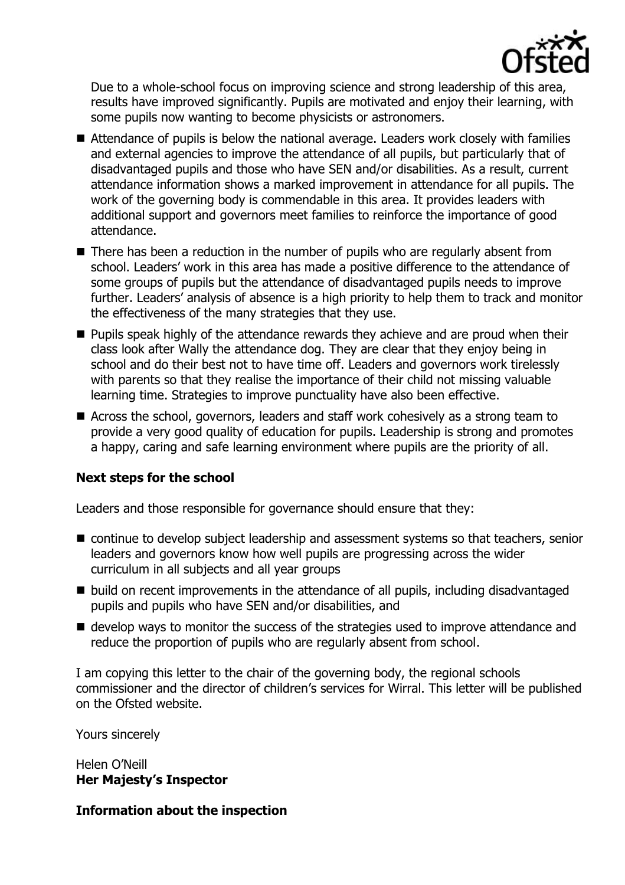

Due to a whole-school focus on improving science and strong leadership of this area, results have improved significantly. Pupils are motivated and enjoy their learning, with some pupils now wanting to become physicists or astronomers.

- Attendance of pupils is below the national average. Leaders work closely with families and external agencies to improve the attendance of all pupils, but particularly that of disadvantaged pupils and those who have SEN and/or disabilities. As a result, current attendance information shows a marked improvement in attendance for all pupils. The work of the governing body is commendable in this area. It provides leaders with additional support and governors meet families to reinforce the importance of good attendance.
- There has been a reduction in the number of pupils who are regularly absent from school. Leaders' work in this area has made a positive difference to the attendance of some groups of pupils but the attendance of disadvantaged pupils needs to improve further. Leaders' analysis of absence is a high priority to help them to track and monitor the effectiveness of the many strategies that they use.
- **Pupils speak highly of the attendance rewards they achieve and are proud when their** class look after Wally the attendance dog. They are clear that they enjoy being in school and do their best not to have time off. Leaders and governors work tirelessly with parents so that they realise the importance of their child not missing valuable learning time. Strategies to improve punctuality have also been effective.
- Across the school, governors, leaders and staff work cohesively as a strong team to provide a very good quality of education for pupils. Leadership is strong and promotes a happy, caring and safe learning environment where pupils are the priority of all.

# **Next steps for the school**

Leaders and those responsible for governance should ensure that they:

- continue to develop subject leadership and assessment systems so that teachers, senior leaders and governors know how well pupils are progressing across the wider curriculum in all subjects and all year groups
- build on recent improvements in the attendance of all pupils, including disadvantaged pupils and pupils who have SEN and/or disabilities, and
- $\blacksquare$  develop ways to monitor the success of the strategies used to improve attendance and reduce the proportion of pupils who are regularly absent from school.

I am copying this letter to the chair of the governing body, the regional schools commissioner and the director of children's services for Wirral. This letter will be published on the Ofsted website.

Yours sincerely

Helen O'Neill **Her Majesty's Inspector**

**Information about the inspection**